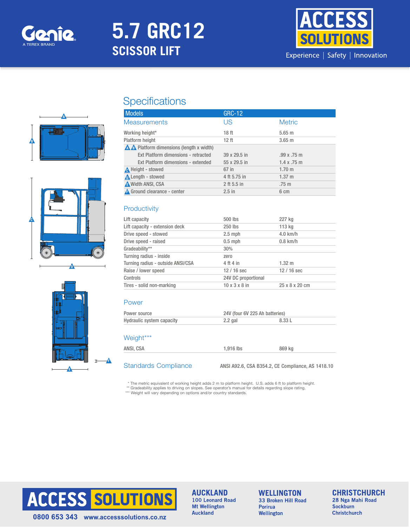

# **5.7 GRC12 SCISSOR LIFT**



# A B





## **Specifications**

| <b>Models</b>                                   | <b>GRC-12</b>    |                  |
|-------------------------------------------------|------------------|------------------|
| <b>Measurements</b>                             | US               | <b>Metric</b>    |
| Working height*                                 | 18 <sub>ft</sub> | $5.65$ m         |
| Platform height                                 | 12 <sub>ft</sub> | $3.65$ m         |
| <b>A A</b> Platform dimensions (length x width) |                  |                  |
| Ext Platform dimensions - retracted             | 39 x 29.5 in     | .99x.75m         |
| Ext Platform dimensions - extended              | 55 x 29.5 in     | 1.4 x .75 m      |
| <b>A</b> Height - stowed                        | 67 in            | $1.70 \;{\rm m}$ |
| <b>A</b> Length - stowed                        | 4 ft 5.75 in     | $1.37 \text{ m}$ |
| <b>A</b> Width ANSI, CSA                        | 2 ft 5.5 in      | $.75 \text{ m}$  |
| A Ground clearance - center                     | $2.5$ in         | 6 cm             |

#### **Productivity**

| Lift capacity                     | 500 lbs                   | 227 kg         |
|-----------------------------------|---------------------------|----------------|
| Lift capacity - extension deck    | 250 lbs                   | 113 kg         |
| Drive speed - stowed              | $2.5$ mph                 | $4.0$ km/h     |
| Drive speed - raised              | $0.5$ mph                 | $0.8$ km/h     |
| Gradeability**                    | 30%                       |                |
| Turning radius - inside           | zero                      |                |
| Turning radius - outside ANSI/CSA | 4 ft 4 in                 | $1.32 \; m$    |
| Raise / lower speed               | $12/16$ sec               | $12/16$ sec    |
| Controls                          | 24V DC proportional       |                |
| Tires - solid non-marking         | $10 \times 3 \times 8$ in | 25 x 8 x 20 cm |
|                                   |                           |                |

#### Power

A

| Power source                     | 24V (four 6V 225 Ah batteries) |                                                   |  |
|----------------------------------|--------------------------------|---------------------------------------------------|--|
| <b>Hydraulic system capacity</b> | $2.2$ gal                      | 8.33 L                                            |  |
| Weight***                        |                                |                                                   |  |
| ANSI. CSA                        | 1.916 lbs                      | 869 ka                                            |  |
| <b>Standards Compliance</b>      |                                | ANSI A92.6, CSA B354.2, CE Compliance, AS 1418.10 |  |

\* The metric equivalent of working height adds 2 m to platform height. U.S. adds 6 ft to platform height.

\*\* Gradeability applies to driving on slopes. See operator's manual for details regarding slope rating.<br>\*\*\* Weight will vary depending on options and/or country standards.



**AUCKLAND** 100 Leonard Road **Mt Wellington Auckland** 

#### **WELLINGTON** 33 Broken Hill Road Porirua Wellington

**CHRISTCHURCH** 

28 Nga Mahi Road **Sockburn Christchurch**